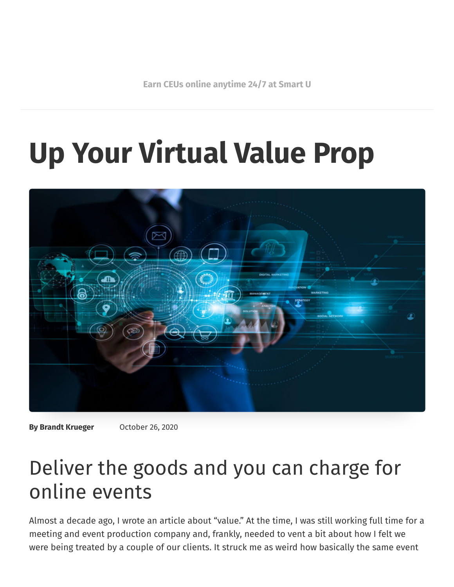**Earn CEUs online [anytime](https://www.smartmeetings.com/career-education) 24/7 at Smart U**

# **Up Your Virtual Value Prop**



**By Brandt Krueger** October 26, 2020

## Deliver the goods and you can charge for online events

Almost a decade ago, I wrote an article about "value." At the time, I was still working full time for a meeting and event production company and, frankly, needed to vent a bit about how I felt we were being treated by a couple of our clients. It struck me as weird how basically the same event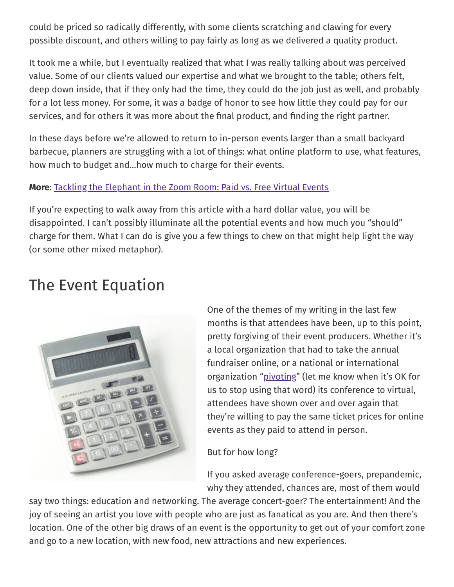could be priced so radically differently, with some clients scratching and clawing for every possible discount, and others willing to pay fairly as long as we delivered a quality product.

It took me a while, but I eventually realized that what I was really talking about was perceived value. Some of our clients valued our expertise and what we brought to the table; others felt, deep down inside, that if they only had the time, they could do the job just as well, and probably for a lot less money. For some, it was a badge of honor to see how little they could pay for our services, and for others it was more about the final product, and finding the right partner.

In these days before we're allowed to return to in-person events larger than a small backyard barbecue, planners are struggling with a lot of things: what online platform to use, what features, how much to budget and…how much to charge for their events.

#### **More**: Tackling the [Elephant](https://www.smartmeetings.com/tips-tools/128898/paid-free-virtual-events) in the Zoom Room: Paid vs. Free Virtual Events

If you're expecting to walk away from this article with a hard dollar value, you will be disappointed. I can't possibly illuminate all the potential events and how much you "should" charge for them. What I can do is give you a few things to chew on that might help light the way (or some other mixed metaphor).

#### The Event Equation



One of the themes of my writing in the last few months is that attendees have been, up to this point, pretty forgiving of their event producers. Whether it's a local organization that had to take the annual fundraiser online, or a national or international organization ["pivoting"](https://www.smartmeetings.com/meeting-planning/126806/lessons-pivoting-covid-era-virtual-meetings) (let me know when it's OK for us to stop using that word) its conference to virtual, attendees have shown over and over again that they're willing to pay the same ticket prices for online events as they paid to attend in person.

But for how long?

If you asked average conference-goers, prepandemic, why they attended, chances are, most of them would

say two things: education and networking. The average concert-goer? The entertainment! And the joy of seeing an artist you love with people who are just as fanatical as you are. And then there's location. One of the other big draws of an event is the opportunity to get out of your comfort zone and go to a new location, with new food, new attractions and new experiences.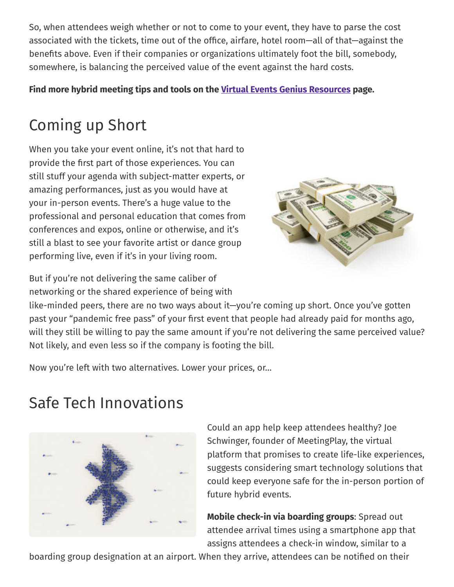So, when attendees weigh whether or not to come to your event, they have to parse the cost associated with the tickets, time out of the office, airfare, hotel room—all of that—against the benefits above. Even if their companies or organizations ultimately foot the bill, somebody, somewhere, is balancing the perceived value of the event against the hard costs.

**Find more hybrid meeting tips and tools on the Virtual Events Genius [Resources](https://www.smartmeetings.com/tips-tools/126574/virtual-events) page.**

## Coming up Short

When you take your event online, it's not that hard to provide the first part of those experiences. You can still stuff your agenda with subject-matter experts, or amazing performances, just as you would have at your in-person events. There's a huge value to the professional and personal education that comes from conferences and expos, online or otherwise, and it's still a blast to see your favorite artist or dance group performing live, even if it's in your living room.

But if you're not delivering the same caliber of networking or the shared experience of being with



like-minded peers, there are no two ways about it—you're coming up short. Once you've gotten past your "pandemic free pass" of your first event that people had already paid for months ago, will they still be willing to pay the same amount if you're not delivering the same perceived value? Not likely, and even less so if the company is footing the bill.

Now you're left with two alternatives. Lower your prices, or…

## Safe Tech Innovations



Could an app help keep attendees healthy? Joe Schwinger, founder of MeetingPlay, the virtual platform that promises to create life-like experiences, suggests considering smart technology solutions that could keep everyone safe for the in-person portion of future hybrid events.

**Mobile check-in via boarding groups**: Spread out attendee arrival times using a smartphone app that assigns attendees a check-in window, similar to a

boarding group designation at an airport. When they arrive, attendees can be notified on their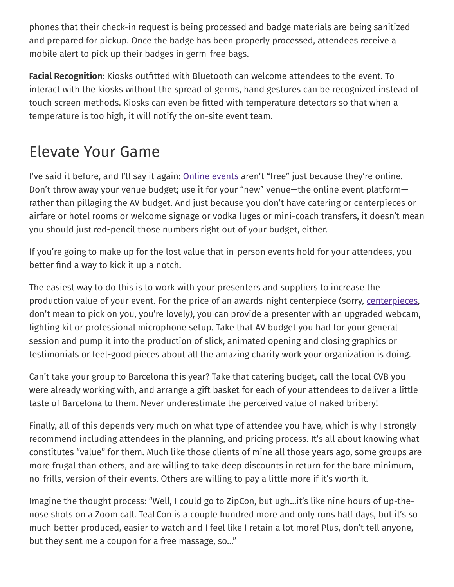phones that their check-in request is being processed and badge materials are being sanitized and prepared for pickup. Once the badge has been properly processed, attendees receive a mobile alert to pick up their badges in germ-free bags.

**Facial Recognition**: Kiosks outfitted with Bluetooth can welcome attendees to the event. To interact with the kiosks without the spread of germs, hand gestures can be recognized instead of touch screen methods. Kiosks can even be fitted with temperature detectors so that when a temperature is too high, it will notify the on-site event team.

#### Elevate Your Game

I've said it before, and I'll say it again: **Online [events](https://www.smartmeetings.com/tips-tools/128246/tips-online-event-success)** aren't "free" just because they're online. Don't throw away your venue budget; use it for your "new" venue—the online event platform rather than pillaging the AV budget. And just because you don't have catering or centerpieces or airfare or hotel rooms or welcome signage or vodka luges or mini-coach transfers, it doesn't mean you should just red-pencil those numbers right out of your budget, either.

If you're going to make up for the lost value that in-person events hold for your attendees, you better find a way to kick it up a notch.

The easiest way to do this is to work with your presenters and suppliers to increase the production value of your event. For the price of an awards-night centerpiece (sorry, [centerpieces,](https://www.smartmeetings.com/meeting-planning/108778/unique-centerpiece-ideas) don't mean to pick on you, you're lovely), you can provide a presenter with an upgraded webcam, lighting kit or professional microphone setup. Take that AV budget you had for your general session and pump it into the production of slick, animated opening and closing graphics or testimonials or feel-good pieces about all the amazing charity work your organization is doing.

Can't take your group to Barcelona this year? Take that catering budget, call the local CVB you were already working with, and arrange a gift basket for each of your attendees to deliver a little taste of Barcelona to them. Never underestimate the perceived value of naked bribery!

Finally, all of this depends very much on what type of attendee you have, which is why I strongly recommend including attendees in the planning, and pricing process. It's all about knowing what constitutes "value" for them. Much like those clients of mine all those years ago, some groups are more frugal than others, and are willing to take deep discounts in return for the bare minimum, no-frills, version of their events. Others are willing to pay a little more if it's worth it.

Imagine the thought process: "Well, I could go to ZipCon, but ugh…it's like nine hours of up-thenose shots on a Zoom call. TeaLCon is a couple hundred more and only runs half days, but it's so much better produced, easier to watch and I feel like I retain a lot more! Plus, don't tell anyone, but they sent me a coupon for a free massage, so…"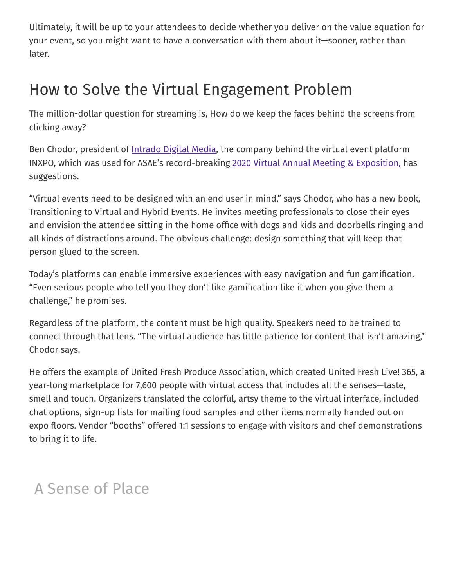Ultimately, it will be up to your attendees to decide whether you deliver on the value equation for your event, so you might want to have a conversation with them about it—sooner, rather than later.

#### How to Solve the Virtual Engagement Problem

The million-dollar question for streaming is, How do we keep the faces behind the screens from clicking away?

Ben Chodor, president of <u>[Intrado](https://www.intrado.com/en) Digital Media</u>, the company behind the virtual event platform INXPO, which was used for ASAE's record-breaking 2020 Virtual Annual Meeting & [Exposition,](https://www.smartmeetings.com/news/128280/asae-virtual-conference-record-registrations) has suggestions.

"Virtual events need to be designed with an end user in mind," says Chodor, who has a new book, Transitioning to Virtual and Hybrid Events. He invites meeting professionals to close their eyes and envision the attendee sitting in the home office with dogs and kids and doorbells ringing and all kinds of distractions around. The obvious challenge: design something that will keep that person glued to the screen.

Today's platforms can enable immersive experiences with easy navigation and fun gamification. "Even serious people who tell you they don't like gamification like it when you give them a challenge," he promises.

Regardless of the platform, the content must be high quality. Speakers need to be trained to connect through that lens. "The virtual audience has little patience for content that isn't amazing," Chodor says.

He offers the example of United Fresh Produce Association, which created United Fresh Live! 365, a year-long marketplace for 7,600 people with virtual access that includes all the senses—taste, smell and touch. Organizers translated the colorful, artsy theme to the virtual interface, included chat options, sign-up lists for mailing food samples and other items normally handed out on expo floors. Vendor "booths" offered 1:1 sessions to engage with visitors and chef demonstrations to bring it to life.

#### A Sense of Place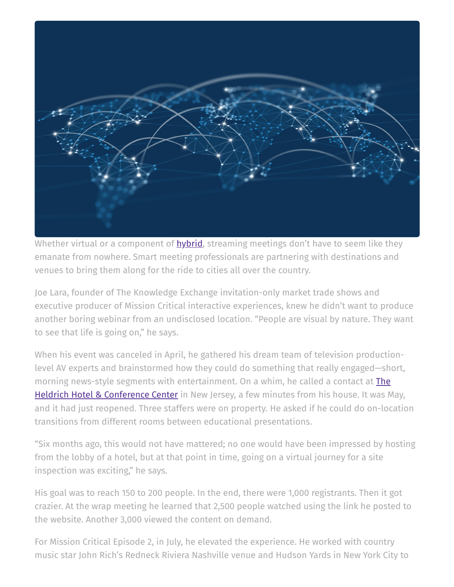

Whether virtual or a component of **[hybrid](https://www.smartmeetings.com/tips-tools/how-to/129459/virtual-hybrid-multimedia-events)**, streaming meetings don't have to seem like they emanate from nowhere. Smart meeting professionals are partnering with destinations and venues to bring them along for the ride to cities all over the country.

Joe Lara, founder of The Knowledge Exchange invitation-only market trade shows and executive producer of Mission Critical interactive experiences, knew he didn't want to produce another boring webinar from an undisclosed location. "People are visual by nature. They want to see that life is going on," he says.

When his event was canceled in April, he gathered his dream team of television productionlevel AV experts and brainstormed how they could do something that really engaged—short, morning news-style segments with [entertainment.](https://www.theheldrich.com/) On a whim, he called a contact at **The** Heldrich Hotel & Conference Center in New Jersey, a few minutes from his house. It was May, and it had just reopened. Three staffers were on property. He asked if he could do on-location transitions from different rooms between educational presentations.

"Six months ago, this would not have mattered; no one would have been impressed by hosting from the lobby of a hotel, but at that point in time, going on a virtual journey for a site inspection was exciting," he says.

His goal was to reach 150 to 200 people. In the end, there were 1,000 registrants. Then it got crazier. At the wrap meeting he learned that 2,500 people watched using the link he posted to the website. Another 3,000 viewed the content on demand.

For Mission Critical Episode 2, in July, he elevated the experience. He worked with country music star John Rich's Redneck Riviera Nashville venue and Hudson Yards in New York City to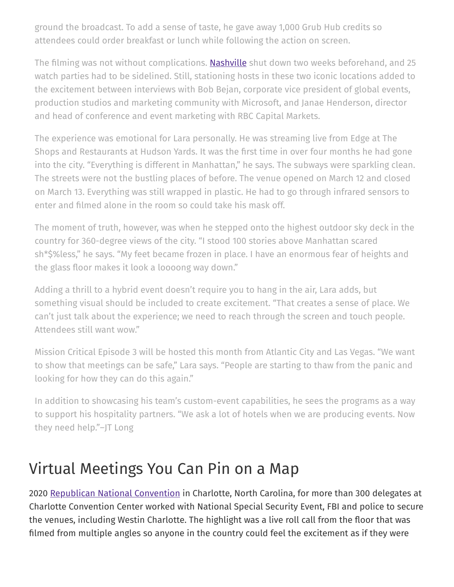ground the broadcast. To add a sense of taste, he gave away 1,000 Grub Hub credits so attendees could order breakfast or lunch while following the action on screen.

The filming was not without complications. [Nashville](https://www.smartmeetings.com/news/129253/sgn-wine-black-meetings-nashville) shut down two weeks beforehand, and 25 watch parties had to be sidelined. Still, stationing hosts in these two iconic locations added to the excitement between interviews with Bob Bejan, corporate vice president of global events, production studios and marketing community with Microsoft, and Janae Henderson, director and head of conference and event marketing with RBC Capital Markets.

The experience was emotional for Lara personally. He was streaming live from Edge at The Shops and Restaurants at Hudson Yards. It was the first time in over four months he had gone into the city. "Everything is different in Manhattan," he says. The subways were sparkling clean. The streets were not the bustling places of before. The venue opened on March 12 and closed on March 13. Everything was still wrapped in plastic. He had to go through infrared sensors to enter and filmed alone in the room so could take his mask off.

The moment of truth, however, was when he stepped onto the highest outdoor sky deck in the country for 360-degree views of the city. "I stood 100 stories above Manhattan scared sh\*\$%less," he says. "My feet became frozen in place. I have an enormous fear of heights and the glass floor makes it look a loooong way down."

Adding a thrill to a hybrid event doesn't require you to hang in the air, Lara adds, but something visual should be included to create excitement. "That creates a sense of place. We can't just talk about the experience; we need to reach through the screen and touch people. Attendees still want wow."

Mission Critical Episode 3 will be hosted this month from Atlantic City and Las Vegas. "We want to show that meetings can be safe," Lara says. "People are starting to thaw from the panic and looking for how they can do this again."

In addition to showcasing his team's custom-event capabilities, he sees the programs as a way to support his hospitality partners. "We ask a lot of hotels when we are producing events. Now they need help."–JT Long

#### Virtual Meetings You Can Pin on a Map

2020 Republican National [Convention](https://www.smartmeetings.com/news/128573/plans-rnc-charlotte-safety) in Charlotte, North Carolina, for more than 300 delegates at Charlotte Convention Center worked with National Special Security Event, FBI and police to secure the venues, including Westin Charlotte. The highlight was a live roll call from the floor that was filmed from multiple angles so anyone in the country could feel the excitement as if they were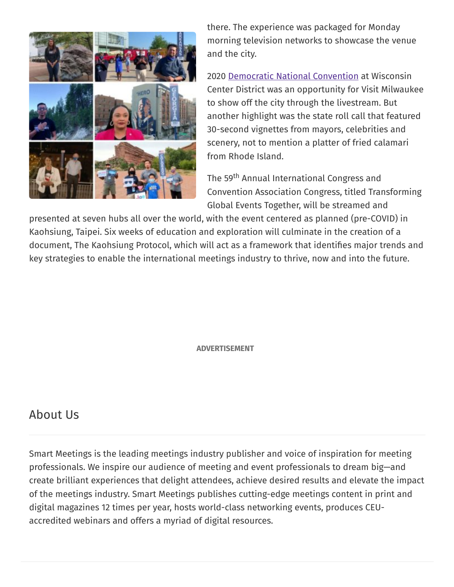

there. The experience was packaged for Monday morning television networks to showcase the venue and the city.

2020 Democratic National [Convention](https://www.smartmeetings.com/convention-centers/128432/dnc-internet-virtual-destination-roll-call) at Wisconsin Center District was an opportunity for Visit Milwaukee to show off the city through the livestream. But another highlight was the state roll call that featured 30-second vignettes from mayors, celebrities and scenery, not to mention a platter of fried calamari from Rhode Island.

The 59<sup>th</sup> Annual International Congress and Convention Association Congress, titled Transforming Global Events Together, will be streamed and

presented at seven hubs all over the world, with the event centered as planned (pre-COVID) in Kaohsiung, Taipei. Six weeks of education and exploration will culminate in the creation of a document, The Kaohsiung Protocol, which will act as a framework that identifies major trends and key strategies to enable the international meetings industry to thrive, now and into the future.

**ADVERTISEMENT**

#### About Us

Smart Meetings is the leading meetings industry publisher and voice of inspiration for meeting professionals. We inspire our audience of meeting and event professionals to dream big—and create brilliant experiences that delight attendees, achieve desired results and elevate the impact of the meetings industry. Smart Meetings publishes cutting-edge meetings content in print and digital magazines 12 times per year, hosts world-class networking events, produces CEUaccredited webinars and offers a myriad of digital resources.